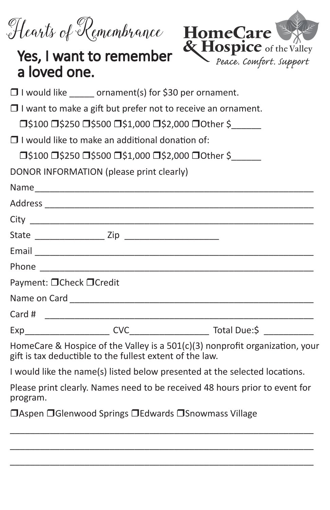Hearts of Remembrance HomeCare



## a loved one.

 $\Box$  I would like ornament(s) for \$30 per ornament.

 $\Box$  I want to make a gift but prefer not to receive an ornament.

□\$100 □\$250 □\$500 □\$1,000 □\$2,000 □Other \$

 $\Box$  I would like to make an additional donation of:

□\$100 □\$250 □\$500 □\$1,000 □\$2,000 □Other \$

DONOR INFORMATION (please print clearly)

| Phone                                        |  |
|----------------------------------------------|--|
| Payment: □ Check □ Credit                    |  |
|                                              |  |
|                                              |  |
| <b>CVC</b><br>Exp___________________________ |  |
|                                              |  |

HomeCare & Hospice of the Valley is a 501(c)(3) nonprofit organization, your gift is tax deductible to the fullest extent of the law.

I would like the name(s) listed below presented at the selected locations.

Please print clearly. Names need to be received 48 hours prior to event for program.

\_\_\_\_\_\_\_\_\_\_\_\_\_\_\_\_\_\_\_\_\_\_\_\_\_\_\_\_\_\_\_\_\_\_\_\_\_\_\_\_\_\_\_\_\_\_\_\_\_\_\_\_\_\_\_\_\_\_\_\_\_ \_\_\_\_\_\_\_\_\_\_\_\_\_\_\_\_\_\_\_\_\_\_\_\_\_\_\_\_\_\_\_\_\_\_\_\_\_\_\_\_\_\_\_\_\_\_\_\_\_\_\_\_\_\_\_\_\_\_\_\_\_ \_\_\_\_\_\_\_\_\_\_\_\_\_\_\_\_\_\_\_\_\_\_\_\_\_\_\_\_\_\_\_\_\_\_\_\_\_\_\_\_\_\_\_\_\_\_\_\_\_\_\_\_\_\_\_\_\_\_\_\_\_

 $\Box$ Aspen  $\Box$ Glenwood Springs  $\Box$ Edwards  $\Box$ Snowmass Village